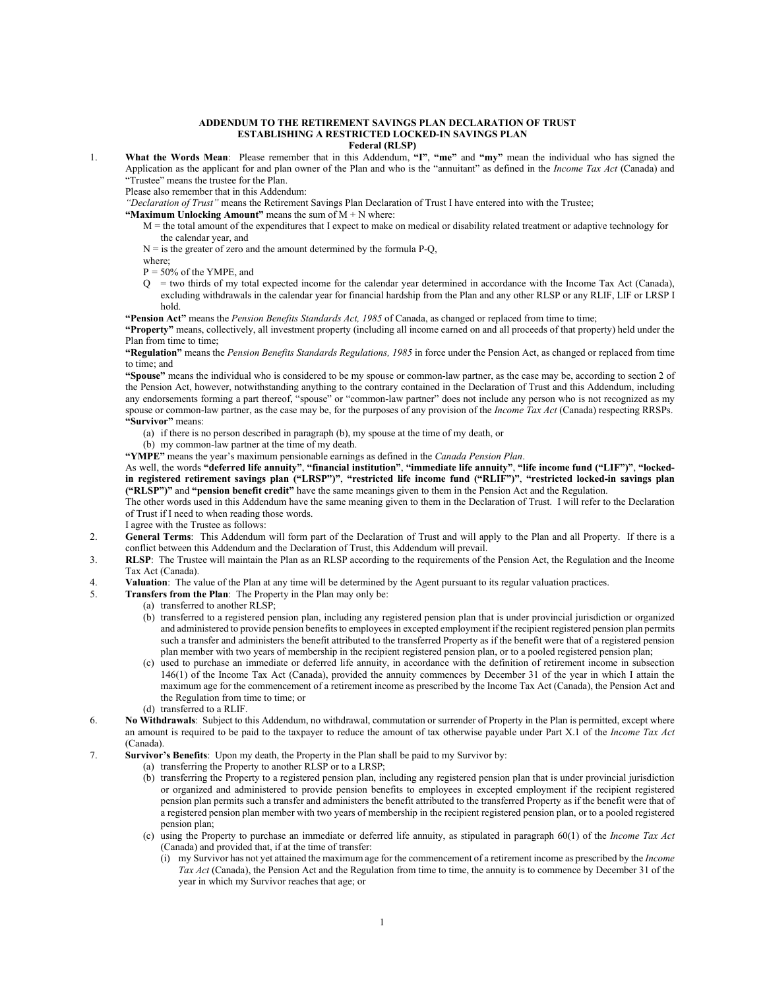## **ADDENDUM TO THE RETIREMENT SAVINGS PLAN DECLARATION OF TRUST ESTABLISHING A RESTRICTED LOCKED-IN SAVINGS PLAN Federal (RLSP)**

1. **What the Words Mean**: Please remember that in this Addendum, **"I"**, **"me"** and **"my"** mean the individual who has signed the Application as the applicant for and plan owner of the Plan and who is the "annuitant" as defined in the *Income Tax Act* (Canada) and "Trustee" means the trustee for the Plan.

Please also remember that in this Addendum:

*"Declaration of Trust"* means the Retirement Savings Plan Declaration of Trust I have entered into with the Trustee;

**"Maximum Unlocking Amount"** means the sum of  $M + N$  where:

- M = the total amount of the expenditures that I expect to make on medical or disability related treatment or adaptive technology for the calendar year, and
- $N =$  is the greater of zero and the amount determined by the formula P-Q,
- where;
- P = 50% of the YMPE, and
- Q = two thirds of my total expected income for the calendar year determined in accordance with the Income Tax Act (Canada), excluding withdrawals in the calendar year for financial hardship from the Plan and any other RLSP or any RLIF, LIF or LRSP I hold.

**"Pension Act"** means the *Pension Benefits Standards Act, 1985* of Canada, as changed or replaced from time to time;

**"Property"** means, collectively, all investment property (including all income earned on and all proceeds of that property) held under the Plan from time to time;

**"Regulation"** means the *Pension Benefits Standards Regulations, 1985* in force under the Pension Act, as changed or replaced from time to time; and

**"Spouse"** means the individual who is considered to be my spouse or common-law partner, as the case may be, according to section 2 of the Pension Act, however, notwithstanding anything to the contrary contained in the Declaration of Trust and this Addendum, including any endorsements forming a part thereof, "spouse" or "common-law partner" does not include any person who is not recognized as my spouse or common-law partner, as the case may be, for the purposes of any provision of the *Income Tax Act* (Canada) respecting RRSPs. **"Survivor"** means:

- (a) if there is no person described in paragraph (b), my spouse at the time of my death, or
- (b) my common-law partner at the time of my death.

**"YMPE"** means the year's maximum pensionable earnings as defined in the *Canada Pension Plan*.

As well, the words **"deferred life annuity"**, **"financial institution"**, **"immediate life annuity"**, **"life income fund ("LIF")"**, **"lockedin registered retirement savings plan ("LRSP")"**, **"restricted life income fund ("RLIF")"**, **"restricted locked-in savings plan ("RLSP")"** and **"pension benefit credit"** have the same meanings given to them in the Pension Act and the Regulation.

The other words used in this Addendum have the same meaning given to them in the Declaration of Trust. I will refer to the Declaration of Trust if I need to when reading those words.

I agree with the Trustee as follows:

- 2. **General Terms**: This Addendum will form part of the Declaration of Trust and will apply to the Plan and all Property. If there is a conflict between this Addendum and the Declaration of Trust, this Addendum will prevail.
- 3. **RLSP**: The Trustee will maintain the Plan as an RLSP according to the requirements of the Pension Act, the Regulation and the Income Tax Act (Canada).
- 4. **Valuation**: The value of the Plan at any time will be determined by the Agent pursuant to its regular valuation practices.
- 5. **Transfers from the Plan**: The Property in the Plan may only be:
	- (a) transferred to another RLSP;
	- (b) transferred to a registered pension plan, including any registered pension plan that is under provincial jurisdiction or organized and administered to provide pension benefits to employees in excepted employment if the recipient registered pension plan permits such a transfer and administers the benefit attributed to the transferred Property as if the benefit were that of a registered pension plan member with two years of membership in the recipient registered pension plan, or to a pooled registered pension plan;
	- (c) used to purchase an immediate or deferred life annuity, in accordance with the definition of retirement income in subsection 146(1) of the Income Tax Act (Canada), provided the annuity commences by December 31 of the year in which I attain the maximum age for the commencement of a retirement income as prescribed by the Income Tax Act (Canada), the Pension Act and the Regulation from time to time; or
	- (d) transferred to a RLIF.
- 6. **No Withdrawals**: Subject to this Addendum, no withdrawal, commutation or surrender of Property in the Plan is permitted, except where an amount is required to be paid to the taxpayer to reduce the amount of tax otherwise payable under Part X.1 of the *Income Tax Act* (Canada).
- 7. **Survivor's Benefits**: Upon my death, the Property in the Plan shall be paid to my Survivor by:
	- (a) transferring the Property to another RLSP or to a LRSP;
	- (b) transferring the Property to a registered pension plan, including any registered pension plan that is under provincial jurisdiction or organized and administered to provide pension benefits to employees in excepted employment if the recipient registered pension plan permits such a transfer and administers the benefit attributed to the transferred Property as if the benefit were that of a registered pension plan member with two years of membership in the recipient registered pension plan, or to a pooled registered pension plan;
	- (c) using the Property to purchase an immediate or deferred life annuity, as stipulated in paragraph 60(1) of the *Income Tax Act* (Canada) and provided that, if at the time of transfer:
		- (i) my Survivor has not yet attained the maximum age for the commencement of a retirement income as prescribed by the *Income Tax Act* (Canada), the Pension Act and the Regulation from time to time, the annuity is to commence by December 31 of the year in which my Survivor reaches that age; or